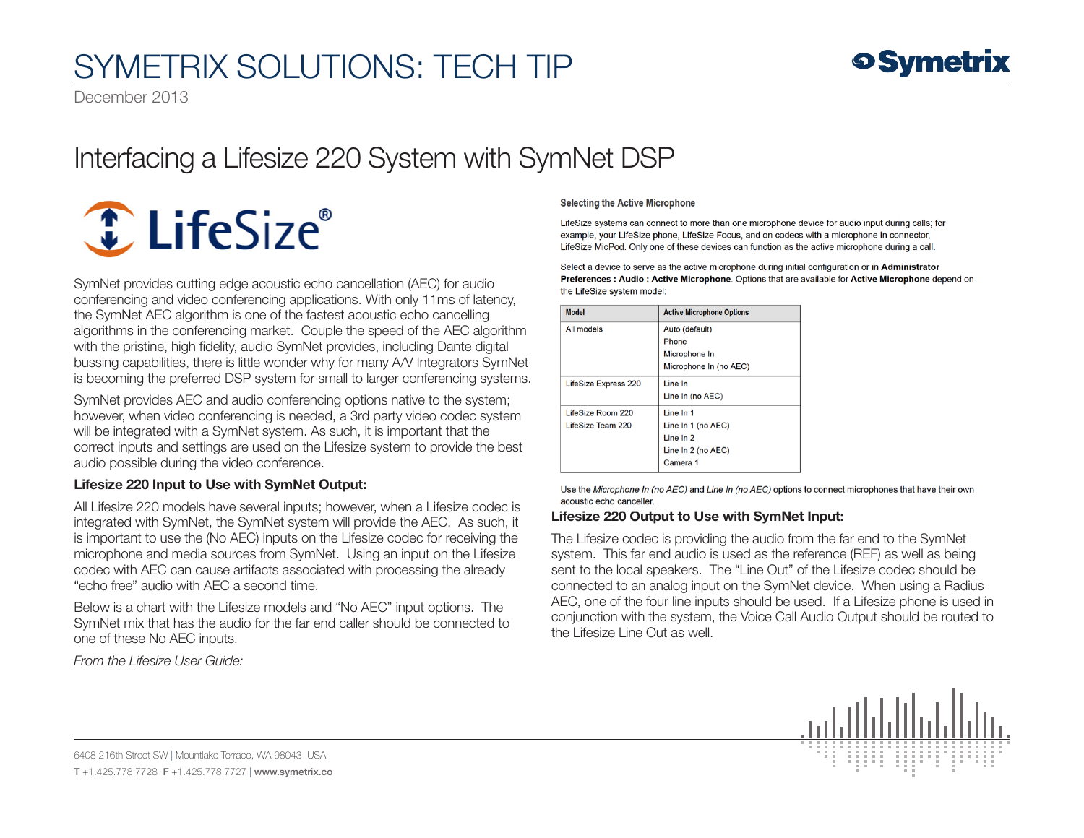# SYMETRIX SOLUTIONS: TECH TIP

December 2013

## Interfacing a Lifesize 220 System with SymNet DSP



SymNet provides cutting edge acoustic echo cancellation (AEC) for audio conferencing and video conferencing applications. With only 11ms of latency, the SymNet AEC algorithm is one of the fastest acoustic echo cancelling algorithms in the conferencing market. Couple the speed of the AEC algorithm with the pristine, high fidelity, audio SymNet provides, including Dante digital bussing capabilities, there is little wonder why for many A/V Integrators SymNet is becoming the preferred DSP system for small to larger conferencing systems.

SymNet provides AEC and audio conferencing options native to the system; however, when video conferencing is needed, a 3rd party video codec system will be integrated with a SymNet system. As such, it is important that the correct inputs and settings are used on the Lifesize system to provide the best audio possible during the video conference.

### Lifesize 220 Input to Use with SymNet Output:

All Lifesize 220 models have several inputs; however, when a Lifesize codec is integrated with SymNet, the SymNet system will provide the AEC. As such, it is important to use the (No AEC) inputs on the Lifesize codec for receiving the microphone and media sources from SymNet. Using an input on the Lifesize codec with AEC can cause artifacts associated with processing the already "echo free" audio with AEC a second time.

Below is a chart with the Lifesize models and "No AEC" input options. The SymNet mix that has the audio for the far end caller should be connected to one of these No AEC inputs.

*From the Lifesize User Guide:*

#### **Selecting the Active Microphone**

LifeSize systems can connect to more than one microphone device for audio input during calls; for example, your LifeSize phone, LifeSize Focus, and on codecs with a microphone in connector, LifeSize MicPod. Only one of these devices can function as the active microphone during a call.

Select a device to serve as the active microphone during initial configuration or in Administrator Preferences : Audio : Active Microphone. Options that are available for Active Microphone depend on the LifeSize system model:

| <b>Model</b>                | <b>Active Microphone Options</b> |
|-----------------------------|----------------------------------|
| All models                  | Auto (default)                   |
|                             | Phone                            |
|                             | Microphone In                    |
|                             | Microphone In (no AEC)           |
| <b>LifeSize Express 220</b> | Line In                          |
|                             | Line In (no AEC)                 |
| LifeSize Room 220           | Line In 1                        |
| LifeSize Team 220           | Line In 1 (no AEC)               |
|                             | Line In 2                        |
|                             | Line In 2 (no AEC)               |
|                             | Camera 1                         |

Use the Microphone In (no AEC) and Line In (no AEC) options to connect microphones that have their own acoustic echo canceller.

#### Lifesize 220 Output to Use with SymNet Input:

The Lifesize codec is providing the audio from the far end to the SymNet system. This far end audio is used as the reference (REF) as well as being sent to the local speakers. The "Line Out" of the Lifesize codec should be connected to an analog input on the SymNet device. When using a Radius AEC, one of the four line inputs should be used. If a Lifesize phone is used in conjunction with the system, the Voice Call Audio Output should be routed to the Lifesize Line Out as well.



6408 216th Street SW | Mountlake Terrace, WA 98043 USA T +1.425.778.7728 F +1.425.778.7727 | www.symetrix.co